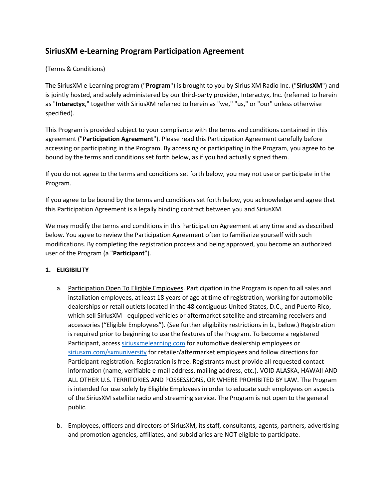# **SiriusXM e-Learning Program Participation Agreement**

## (Terms & Conditions)

The SiriusXM e-Learning program ("**Program**") is brought to you by Sirius XM Radio Inc. ("**SiriusXM**") and is jointly hosted, and solely administered by our third-party provider, Interactyx, Inc. (referred to herein as "**Interactyx**," together with SiriusXM referred to herein as "we," "us," or "our" unless otherwise specified).

This Program is provided subject to your compliance with the terms and conditions contained in this agreement ("**Participation Agreement**"). Please read this Participation Agreement carefully before accessing or participating in the Program. By accessing or participating in the Program, you agree to be bound by the terms and conditions set forth below, as if you had actually signed them.

If you do not agree to the terms and conditions set forth below, you may not use or participate in the Program.

If you agree to be bound by the terms and conditions set forth below, you acknowledge and agree that this Participation Agreement is a legally binding contract between you and SiriusXM.

We may modify the terms and conditions in this Participation Agreement at any time and as described below. You agree to review the Participation Agreement often to familiarize yourself with such modifications. By completing the registration process and being approved, you become an authorized user of the Program (a "**Participant**").

### **1. ELIGIBILITY**

- a. Participation Open To Eligible Employees. Participation in the Program is open to all sales and installation employees, at least 18 years of age at time of registration, working for automobile dealerships or retail outlets located in the 48 contiguous United States, D.C., and Puerto Rico, which sell SiriusXM - equipped vehicles or aftermarket satellite and streaming receivers and accessories ("Eligible Employees"). (See further eligibility restrictions in b., below.) Registration is required prior to beginning to use the features of the Program. To become a registered Participant, access [siriusxmelearning.com](https://siriusxmelearning.com/) for automotive dealership employees or [siriusxm.com/sxmuniversity](https://siriusxm.myabsorb.com/#/login) for retailer/aftermarket employees and follow directions for Participant registration. Registration is free. Registrants must provide all requested contact information (name, verifiable e-mail address, mailing address, etc.). VOID ALASKA, HAWAII AND ALL OTHER U.S. TERRITORIES AND POSSESSIONS, OR WHERE PROHIBITED BY LAW. The Program is intended for use solely by Eligible Employees in order to educate such employees on aspects of the SiriusXM satellite radio and streaming service. The Program is not open to the general public.
- b. Employees, officers and directors of SiriusXM, its staff, consultants, agents, partners, advertising and promotion agencies, affiliates, and subsidiaries are NOT eligible to participate.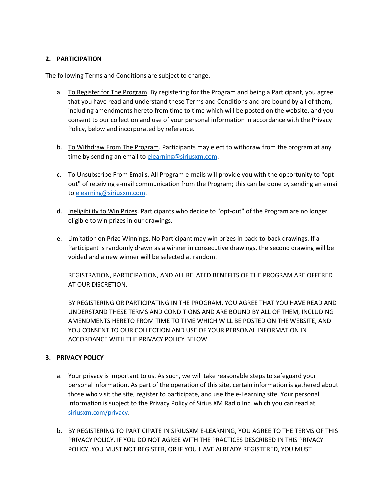### **2. PARTICIPATION**

The following Terms and Conditions are subject to change.

- a. To Register for The Program. By registering for the Program and being a Participant, you agree that you have read and understand these Terms and Conditions and are bound by all of them, including amendments hereto from time to time which will be posted on the website, and you consent to our collection and use of your personal information in accordance with the Privacy Policy, below and incorporated by reference.
- b. To Withdraw From The Program. Participants may elect to withdraw from the program at any time by sending an email to [elearning@siriusxm.com.](mailto:elearning@siriusxm.com)
- c. To Unsubscribe From Emails. All Program e-mails will provide you with the opportunity to "optout" of receiving e-mail communication from the Program; this can be done by sending an email to [elearning@siriusxm.com.](mailto:elearning@siriusxm.com)
- d. Ineligibility to Win Prizes. Participants who decide to "opt-out" of the Program are no longer eligible to win prizes in our drawings.
- e. Limitation on Prize Winnings. No Participant may win prizes in back-to-back drawings. If a Participant is randomly drawn as a winner in consecutive drawings, the second drawing will be voided and a new winner will be selected at random.

REGISTRATION, PARTICIPATION, AND ALL RELATED BENEFITS OF THE PROGRAM ARE OFFERED AT OUR DISCRETION.

BY REGISTERING OR PARTICIPATING IN THE PROGRAM, YOU AGREE THAT YOU HAVE READ AND UNDERSTAND THESE TERMS AND CONDITIONS AND ARE BOUND BY ALL OF THEM, INCLUDING AMENDMENTS HERETO FROM TIME TO TIME WHICH WILL BE POSTED ON THE WEBSITE, AND YOU CONSENT TO OUR COLLECTION AND USE OF YOUR PERSONAL INFORMATION IN ACCORDANCE WITH THE PRIVACY POLICY BELOW.

#### **3. PRIVACY POLICY**

- a. Your privacy is important to us. As such, we will take reasonable steps to safeguard your personal information. As part of the operation of this site, certain information is gathered about those who visit the site, register to participate, and use the e-Learning site. Your personal information is subject to the Privacy Policy of Sirius XM Radio Inc. which you can read at [siriusxm.com/privacy.](https://www.siriusxm.com/content/dam/sxm-com/pdf/corporate-pdf/privacy-policy-english-dec2021.pdf)
- b. BY REGISTERING TO PARTICIPATE IN SIRIUSXM E-LEARNING, YOU AGREE TO THE TERMS OF THIS PRIVACY POLICY. IF YOU DO NOT AGREE WITH THE PRACTICES DESCRIBED IN THIS PRIVACY POLICY, YOU MUST NOT REGISTER, OR IF YOU HAVE ALREADY REGISTERED, YOU MUST